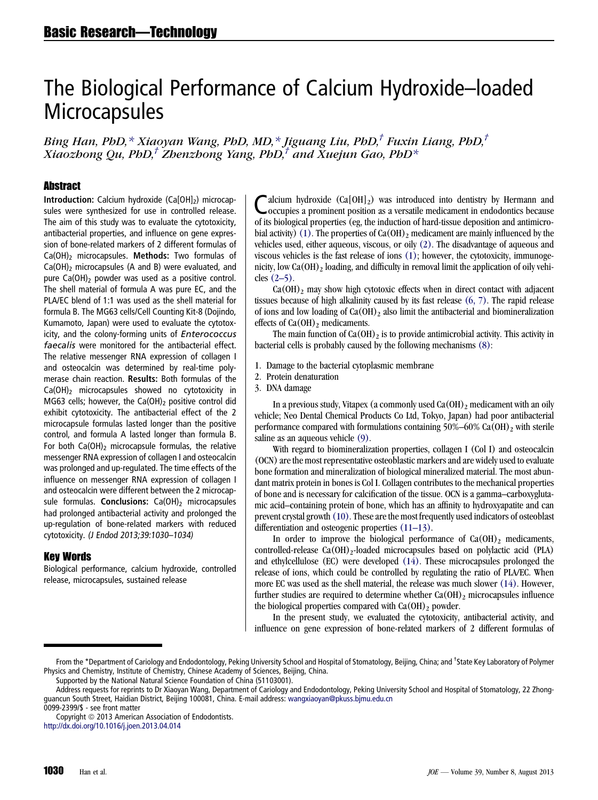# The Biological Performance of Calcium Hydroxide–loaded **Microcapsules**

Bing Han, PhD,\* Xiaoyan Wang, PhD, MD,\* Jiguang Liu, PhD,<sup>†</sup> Fuxin Liang, PhD,<sup>†</sup> Xiaozhong Qu, PhD,<sup>†</sup> Zhenzhong Yang, PhD,<sup>†</sup> and Xuejun Gao, PhD<sup>\*</sup>

### **Abstract**

**Introduction:** Calcium hydroxide (Ca $[OH]_2$ ) microcapsules were synthesized for use in controlled release. The aim of this study was to evaluate the cytotoxicity, antibacterial properties, and influence on gene expression of bone-related markers of 2 different formulas of  $Ca(OH)_2$  microcapsules. Methods: Two formulas of Ca(OH)2 microcapsules (A and B) were evaluated, and pure  $Ca(OH)_2$  powder was used as a positive control. The shell material of formula A was pure EC, and the PLA/EC blend of 1:1 was used as the shell material for formula B. The MG63 cells/Cell Counting Kit-8 (Dojindo, Kumamoto, Japan) were used to evaluate the cytotoxicity, and the colony-forming units of Enterococcus faecalis were monitored for the antibacterial effect. The relative messenger RNA expression of collagen I and osteocalcin was determined by real-time polymerase chain reaction. Results: Both formulas of the  $Ca(OH)_2$  microcapsules showed no cytotoxicity in MG63 cells; however, the Ca(OH) $_2$  positive control did exhibit cytotoxicity. The antibacterial effect of the 2 microcapsule formulas lasted longer than the positive control, and formula A lasted longer than formula B. For both  $Ca(OH)_2$  microcapsule formulas, the relative messenger RNA expression of collagen I and osteocalcin was prolonged and up-regulated. The time effects of the influence on messenger RNA expression of collagen I and osteocalcin were different between the 2 microcapsule formulas. Conclusions:  $Ca(OH)_2$  microcapsules had prolonged antibacterial activity and prolonged the up-regulation of bone-related markers with reduced cytotoxicity. (J Endod 2013;39:1030–1034)

# Key Words

Biological performance, calcium hydroxide, controlled release, microcapsules, sustained release

alcium hydroxide  $(Ca[OH]_2)$  was introduced into dentistry by Hermann and occupies a prominent position as a versatile medicament in endodontics because of its biological properties (eg, the induction of hard-tissue deposition and antimicro-bial activity) [\(1\).](#page-4-0) The properties of  $Ca(OH)_2$  medicament are mainly influenced by the vehicles used, either aqueous, viscous, or oily [\(2\)](#page-4-0). The disadvantage of aqueous and viscous vehicles is the fast release of ions [\(1\)](#page-4-0); however, the cytotoxicity, immunogenicity, low Ca(OH)<sub>2</sub> loading, and difficulty in removal limit the application of oily vehicles  $(2-5)$ .

 $Ca(OH)$ <sub>2</sub> may show high cytotoxic effects when in direct contact with adjacent tissues because of high alkalinity caused by its fast release [\(6, 7\)](#page-4-0). The rapid release of ions and low loading of  $Ca(OH)_2$  also limit the antibacterial and biomineralization effects of  $Ca(OH)<sub>2</sub>$  medicaments.

The main function of  $Ca(OH)_2$  is to provide antimicrobial activity. This activity in bacterial cells is probably caused by the following mechanisms [\(8\)](#page-4-0):

- 1. Damage to the bacterial cytoplasmic membrane
- 2. Protein denaturation

3. DNA damage

In a previous study, Vitapex (a commonly used  $Ca(OH)_2$  medicament with an oily vehicle; Neo Dental Chemical Products Co Ltd, Tokyo, Japan) had poor antibacterial performance compared with formulations containing  $50\% -60\%$  Ca(OH)<sub>2</sub> with sterile saline as an aqueous vehicle [\(9\)](#page-4-0).

With regard to biomineralization properties, collagen I (Col I) and osteocalcin (OCN) are the most representative osteoblastic markers and are widely used to evaluate bone formation and mineralization of biological mineralized material. The most abundant matrix protein in bones is Col I. Collagen contributes to the mechanical properties of bone and is necessary for calcification of the tissue. OCN is a gamma–carboxyglutamic acid–containing protein of bone, which has an affinity to hydroxyapatite and can prevent crystal growth [\(10\).](#page-4-0) These are the most frequently used indicators of osteoblast differentiation and osteogenic properties [\(11–13\).](#page-4-0)

In order to improve the biological performance of  $Ca(OH)_2$  medicaments, controlled-release  $Ca(OH)_2$ -loaded microcapsules based on polylactic acid (PLA) and ethylcellulose (EC) were developed [\(14\)](#page-4-0). These microcapsules prolonged the release of ions, which could be controlled by regulating the ratio of PLA/EC. When more EC was used as the shell material, the release was much slower [\(14\).](#page-4-0) However, further studies are required to determine whether  $Ca(OH)_2$  microcapsules influence the biological properties compared with  $Ca(OH)_2$  powder.

In the present study, we evaluated the cytotoxicity, antibacterial activity, and influence on gene expression of bone-related markers of 2 different formulas of

0099-2399/\$ - see front matter

From the \*Department of Cariology and Endodontology, Peking University School and Hospital of Stomatology, Beijing, China; and † State Key Laboratory of Polymer Physics and Chemistry, Institute of Chemistry, Chinese Academy of Sciences, Beijing, China.

Supported by the National Natural Science Foundation of China (51103001).

Address requests for reprints to Dr Xiaoyan Wang, Department of Cariology and Endodontology, Peking University School and Hospital of Stomatology, 22 Zhongguancun South Street, Haidian District, Beijing 100081, China. E-mail address: [wangxiaoyan@pkuss.bjmu.edu.cn](mailto:wangxiaoyan@pkuss.bjmu.edu.cn)

Copyright © 2013 American Association of Endodontists. <http://dx.doi.org/10.1016/j.joen.2013.04.014>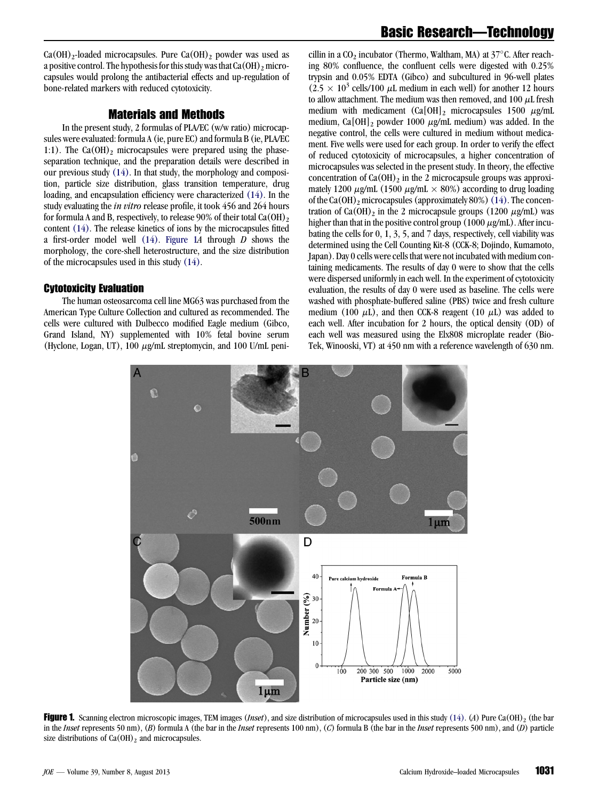$Ca(OH)_2$ -loaded microcapsules. Pure  $Ca(OH)_2$  powder was used as a positive control. The hypothesis for this study was that  $Ca(OH)_2$  microcapsules would prolong the antibacterial effects and up-regulation of bone-related markers with reduced cytotoxicity.

# Materials and Methods

In the present study, 2 formulas of PLA/EC (w/w ratio) microcapsules were evaluated: formula A (ie, pure EC) and formula B (ie, PLA/EC 1:1). The  $Ca(OH)_2$  microcapsules were prepared using the phaseseparation technique, and the preparation details were described in our previous study [\(14\)](#page-4-0). In that study, the morphology and composition, particle size distribution, glass transition temperature, drug loading, and encapsulation efficiency were characterized [\(14\).](#page-4-0) In the study evaluating the in vitro release profile, it took 456 and 264 hours for formula A and B, respectively, to release 90% of their total  $Ca(OH)_2$ content [\(14\).](#page-4-0) The release kinetics of ions by the microcapsules fitted a first-order model well  $(14)$ . Figure 1A through D shows the morphology, the core-shell heterostructure, and the size distribution of the microcapsules used in this study [\(14\).](#page-4-0)

#### Cytotoxicity Evaluation

The human osteosarcoma cell line MG63 was purchased from the American Type Culture Collection and cultured as recommended. The cells were cultured with Dulbecco modified Eagle medium (Gibco, Grand Island, NY) supplemented with 10% fetal bovine serum (Hyclone, Logan, UT), 100  $\mu$ g/mL streptomycin, and 100 U/mL peni-

cillin in a  $CO<sub>2</sub>$  incubator (Thermo, Waltham, MA) at  $37^{\circ}$ C. After reaching 80% confluence, the confluent cells were digested with 0.25% trypsin and 0.05% EDTA (Gibco) and subcultured in 96-well plates  $(2.5 \times 10^3 \text{ cells}/100 \mu\text{L} \text{ medium in each well})$  for another 12 hours to allow attachment. The medium was then removed, and 100  $\mu$ L fresh medium with medicament  $(Ca[OH]_2$  microcapsules 1500  $\mu$ g/mL medium, Ca[OH]<sub>2</sub> powder 1000  $\mu$ g/mL medium) was added. In the negative control, the cells were cultured in medium without medicament. Five wells were used for each group. In order to verify the effect of reduced cytotoxicity of microcapsules, a higher concentration of microcapsules was selected in the present study. In theory, the effective concentration of  $Ca(OH)_2$  in the 2 microcapsule groups was approximately 1200  $\mu$ g/mL (1500  $\mu$ g/mL  $\times$  80%) according to drug loading of the Ca(OH)<sub>2</sub> microcapsules (approximately 80%) [\(14\)](#page-4-0). The concentration of Ca(OH)<sub>2</sub> in the 2 microcapsule groups (1200  $\mu$ g/mL) was higher than that in the positive control group (1000  $\mu$ g/mL). After incubating the cells for 0, 1, 3, 5, and 7 days, respectively, cell viability was determined using the Cell Counting Kit-8 (CCK-8; Dojindo, Kumamoto, Japan). Day 0 cells were cells that were not incubated with medium containing medicaments. The results of day 0 were to show that the cells were dispersed uniformly in each well. In the experiment of cytotoxicity evaluation, the results of day 0 were used as baseline. The cells were washed with phosphate-buffered saline (PBS) twice and fresh culture medium (100  $\mu$ L), and then CCK-8 reagent (10  $\mu$ L) was added to each well. After incubation for 2 hours, the optical density (OD) of each well was measured using the Elx808 microplate reader (Bio-Tek, Winooski, VT) at 450 nm with a reference wavelength of 630 nm.



**Figure 1.** Scanning electron microscopic images, TEM images (*Inset*), and size distribution of microcapsules used in this study [\(14\)](#page-4-0). (A) Pure Ca(OH)<sub>2</sub> (the bar in the *Inset* represents 50 nm),  $(B)$  formula A (the bar in the *Inset* represents 100 nm),  $(C)$  formula B (the bar in the *Inset* represents 500 nm), and  $(D)$  particle size distributions of  $Ca(OH)_2$  and microcapsules.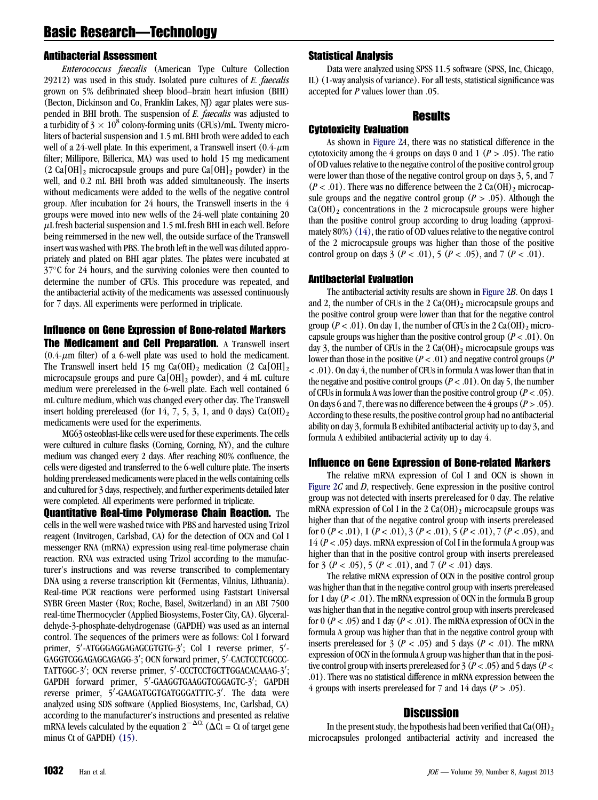# Basic Research—Technology

#### Antibacterial Assessment

Enterococcus faecalis (American Type Culture Collection  $29212$ ) was used in this study. Isolated pure cultures of E. faecalis grown on 5% defibrinated sheep blood–brain heart infusion (BHI) (Becton, Dickinson and Co, Franklin Lakes, NJ) agar plates were suspended in BHI broth. The suspension of E. faecalis was adjusted to a turbidity of  $3 \times 10^8$  colony-forming units (CFUs)/mL. Twenty microliters of bacterial suspension and 1.5 mL BHI broth were added to each well of a 24-well plate. In this experiment, a Transwell insert  $(0.4 - \mu m)$ filter; Millipore, Billerica, MA) was used to hold 15 mg medicament  $(2 \text{ Ca}[\text{OH}]_2$  microcapsule groups and pure Ca $[\text{OH}]_2$  powder) in the well, and 0.2 mL BHI broth was added simultaneously. The inserts without medicaments were added to the wells of the negative control group. After incubation for 24 hours, the Transwell inserts in the 4 groups were moved into new wells of the 24-well plate containing 20  $\mu$ L fresh bacterial suspension and 1.5 mL fresh BHI in each well. Before being reimmersed in the new well, the outside surface of the Transwell insert was washed with PBS. The broth left in the well was diluted appropriately and plated on BHI agar plates. The plates were incubated at  $37^{\circ}$ C for 24 hours, and the surviving colonies were then counted to determine the number of CFUs. This procedure was repeated, and the antibacterial activity of the medicaments was assessed continuously for 7 days. All experiments were performed in triplicate.

# Influence on Gene Expression of Bone-related Markers

The Medicament and Cell Preparation. A Transwell insert  $(0.4 \text{-} \mu \text{m}$  filter) of a 6-well plate was used to hold the medicament. The Transwell insert held 15 mg Ca(OH)<sub>2</sub> medication (2 Ca[OH]<sub>2</sub> microcapsule groups and pure  $Ca[OH]_2$  powder), and 4 mL culture medium were prereleased in the 6-well plate. Each well contained 6 mL culture medium, which was changed every other day. The Transwell insert holding prereleased (for 14, 7, 5, 3, 1, and 0 days)  $Ca(OH)_2$ medicaments were used for the experiments.

MG63 osteoblast-like cells were used for these experiments. The cells were cultured in culture flasks (Corning, Corning, NY), and the culture medium was changed every 2 days. After reaching 80% confluence, the cells were digested and transferred to the 6-well culture plate. The inserts holding prereleased medicaments were placed in the wells containing cells and cultured for 3 days, respectively, and further experiments detailed later were completed. All experiments were performed in triplicate.

**Ouantitative Real-time Polymerase Chain Reaction.** The cells in the well were washed twice with PBS and harvested using Trizol reagent (Invitrogen, Carlsbad, CA) for the detection of OCN and Col I messenger RNA (mRNA) expression using real-time polymerase chain reaction. RNA was extracted using Trizol according to the manufacturer's instructions and was reverse transcribed to complementary DNA using a reverse transcription kit (Fermentas, Vilnius, Lithuania). Real-time PCR reactions were performed using Faststart Universal SYBR Green Master (Rox; Roche, Basel, Switzerland) in an ABI 7500 real-time Thermocycler (Applied Biosystems, Foster City, CA). Glyceraldehyde-3-phosphate-dehydrogenase (GAPDH) was used as an internal control. The sequences of the primers were as follows: Col I forward primer, 5'-ATGGGAGGAGAGCGTGTG-3'; Col I reverse primer, 5'-GAGGTCGGAGAGCAGAGG-3'; OCN forward primer, 5'-CACTCCTCGCCC-TATTGGC-3'; OCN reverse primer, 5'-CCCTCCTGCTTGGACACAAAG-3'; GAPDH forward primer, 5'-GAAGGTGAAGGTCGGAGTC-3'; GAPDH reverse primer, 5'-GAAGATGGTGATGGGATTTC-3'. The data were analyzed using SDS software (Applied Biosystems, Inc, Carlsbad, CA) according to the manufacturer's instructions and presented as relative mRNA levels calculated by the equation  $2^{-\Delta Ct}$  ( $\Delta \overline{C}$  = Ct of target gene minus Ct of GAPDH) [\(15\)](#page-4-0).

# Statistical Analysis

Data were analyzed using SPSS 11.5 software (SPSS, Inc, Chicago, IL) (1-way analysis of variance). For all tests, statistical significance was accepted for P values lower than .05.

# Results

#### Cytotoxicity Evaluation

As shown in [Figure 2](#page-3-0)A, there was no statistical difference in the cytotoxicity among the 4 groups on days 0 and 1 ( $P > .05$ ). The ratio of OD values relative to the negative control of the positive control group were lower than those of the negative control group on days 3, 5, and 7  $(P < .01)$ . There was no difference between the 2 Ca(OH)<sub>2</sub> microcapsule groups and the negative control group ( $P > .05$ ). Although the  $Ca(OH)_2$  concentrations in the 2 microcapsule groups were higher than the positive control group according to drug loading (approximately  $80\%$ ) [\(14\)](#page-4-0), the ratio of OD values relative to the negative control of the 2 microcapsule groups was higher than those of the positive control group on days 3 ( $P < .01$ ), 5 ( $P < .05$ ), and 7 ( $P < .01$ ).

# Antibacterial Evaluation

The antibacterial activity results are shown in [Figure 2](#page-3-0)B. On days 1 and 2, the number of CFUs in the 2  $Ca(OH)_2$  microcapsule groups and the positive control group were lower than that for the negative control group ( $P < .01$ ). On day 1, the number of CFUs in the 2 Ca(OH)<sub>2</sub> microcapsule groups was higher than the positive control group ( $P < .01$ ). On day 3, the number of CFUs in the 2  $Ca(OH)_2$  microcapsule groups was lower than those in the positive  $(P < .01)$  and negative control groups  $(P \le 0.01)$ < .01). On day 4, the number of CFUs in formula A was lower than that in the negative and positive control groups ( $P < .01$ ). On day 5, the number of CFUs in formula A was lower than the positive control group  $(P < .05)$ . On days 6 and 7, there was no difference between the 4 groups  $(P > .05)$ . According to these results, the positive control group had no antibacterial ability on day 3, formula B exhibited antibacterial activity up to day 3, and formula A exhibited antibacterial activity up to day 4.

#### Influence on Gene Expression of Bone-related Markers

The relative mRNA expression of Col I and OCN is shown in [Figure 2](#page-3-0)C and D, respectively. Gene expression in the positive control group was not detected with inserts prereleased for 0 day. The relative mRNA expression of Col I in the 2  $Ca(OH)$ <sub>2</sub> microcapsule groups was higher than that of the negative control group with inserts prereleased for 0  $(P < .01)$ , 1  $(P < .01)$ , 3  $(P < .01)$ , 5  $(P < .01)$ , 7  $(P < .05)$ , and 14 ( $P < .05$ ) days. mRNA expression of Col I in the formula A group was higher than that in the positive control group with inserts prereleased for 3 ( $P < .05$ ), 5 ( $P < .01$ ), and 7 ( $P < .01$ ) days.

The relative mRNA expression of OCN in the positive control group was higher than that in the negative control group with inserts prereleased for 1 day  $(P < .01)$ . The mRNA expression of OCN in the formula B group was higher than that in the negative control group with inserts prereleased for 0 ( $P < .05$ ) and 1 day ( $P < .01$ ). The mRNA expression of OCN in the formula A group was higher than that in the negative control group with inserts prereleased for 3 ( $P < .05$ ) and 5 days ( $P < .01$ ). The mRNA expression of OCN in the formula A group was higher than that in the positive control group with inserts prereleased for 3 ( $P < .05$ ) and 5 days ( $P <$ .01). There was no statistical difference in mRNA expression between the 4 groups with inserts prereleased for 7 and 14 days ( $P > .05$ ).

# Discussion

In the present study, the hypothesis had been verified that  $Ca(OH)_2$ microcapsules prolonged antibacterial activity and increased the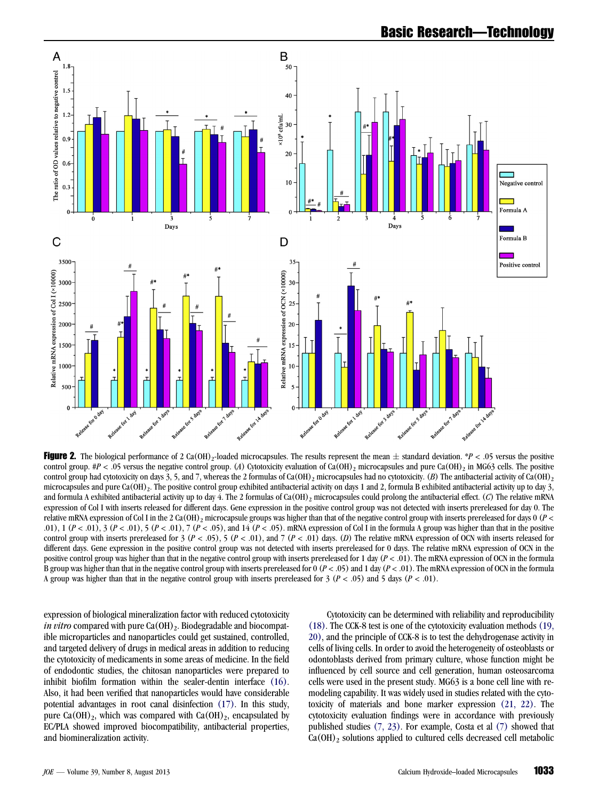<span id="page-3-0"></span>

Figure 2. The biological performance of 2 Ca(OH)<sub>2</sub>-loaded microcapsules. The results represent the mean  $\pm$  standard deviation. \*P < .05 versus the positive control group. #P < .05 versus the negative control group. (A) Cytotoxicity evaluation of Ca(OH)<sub>2</sub> microcapsules and pure Ca(OH)<sub>2</sub> in MG63 cells. The positive control group had cytotoxicity on days 3, 5, and 7, whereas the 2 formulas of Ca(OH)<sub>2</sub> microcapsules had no cytotoxicity. (B) The antibacterial activity of Ca(OH)<sub>2</sub> microcapsules and pure Ca(OH)<sub>2</sub>. The positive control group exhibited antibacterial activity on days 1 and 2, formula B exhibited antibacterial activity up to day 3, and formula A exhibited antibacterial activity up to day 4. The 2 formulas of Ca(OH)<sub>2</sub> microcapsules could prolong the antibacterial effect. (C) The relative mRNA expression of Col I with inserts released for different days. Gene expression in the positive control group was not detected with inserts prereleased for day 0. The relative mRNA expression of Col I in the 2 Ca(OH)<sub>2</sub> microcapsule groups was higher than that of the negative control group with inserts prereleased for days 0 ( $P <$ .01), 1  $(P < .01)$ , 3  $(P < .01)$ , 5  $(P < .01)$ , 7  $(P < .05)$ , and 14  $(P < .05)$ . mRNA expression of Col I in the formula A group was higher than that in the positive control group with inserts prereleased for 3 ( $P < .05$ ), 5 ( $P < .01$ ), and 7 ( $P < .01$ ) days. (D) The relative mRNA expression of OCN with inserts released for different days. Gene expression in the positive control group was not detected with inserts prereleased for 0 days. The relative mRNA expression of OCN in the positive control group was higher than that in the negative control group with inserts prereleased for 1 day  $(P < .01)$ . The mRNA expression of OCN in the formula B group was higher than that in the negative control group with inserts prereleased for  $0 (P < .05)$  and 1 day  $(P < .01)$ . The mRNA expression of OCN in the formula A group was higher than that in the negative control group with inserts prereleased for  $3 (P < .05)$  and  $5 \text{ days } (P < .01)$ .

expression of biological mineralization factor with reduced cytotoxicity *in vitro* compared with pure  $Ca(OH)_2$ . Biodegradable and biocompatible microparticles and nanoparticles could get sustained, controlled, and targeted delivery of drugs in medical areas in addition to reducing the cytotoxicity of medicaments in some areas of medicine. In the field of endodontic studies, the chitosan nanoparticles were prepared to inhibit biofilm formation within the sealer-dentin interface [\(16\).](#page-4-0) Also, it had been verified that nanoparticles would have considerable potential advantages in root canal disinfection [\(17\)](#page-4-0). In this study, pure Ca(OH)<sub>2</sub>, which was compared with Ca(OH)<sub>2</sub>, encapsulated by EC/PLA showed improved biocompatibility, antibacterial properties, and biomineralization activity.

Cytotoxicity can be determined with reliability and reproducibility [\(18\).](#page-4-0) The CCK-8 test is one of the cytotoxicity evaluation methods [\(19,](#page-4-0) [20\),](#page-4-0) and the principle of CCK-8 is to test the dehydrogenase activity in cells of living cells. In order to avoid the heterogeneity of osteoblasts or odontoblasts derived from primary culture, whose function might be influenced by cell source and cell generation, human osteosarcoma cells were used in the present study. MG63 is a bone cell line with remodeling capability. It was widely used in studies related with the cytotoxicity of materials and bone marker expression [\(21, 22\)](#page-4-0). The cytotoxicity evaluation findings were in accordance with previously published studies [\(7, 23\).](#page-4-0) For example, Costa et al [\(7\)](#page-4-0) showed that  $Ca(OH)_2$  solutions applied to cultured cells decreased cell metabolic